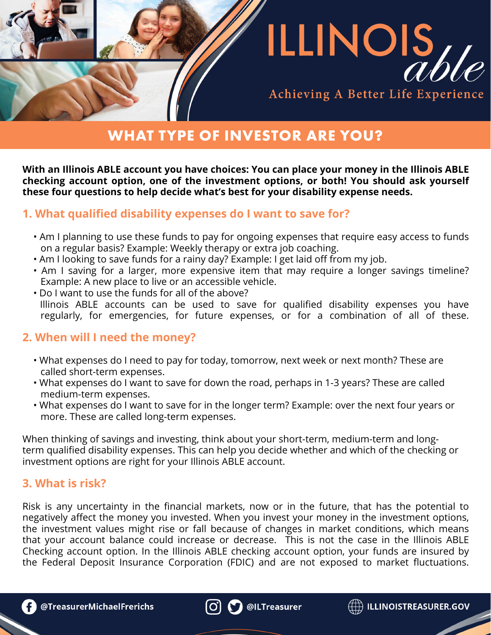

# Achieving A Better Life Experience

# **WHAT TYPE OF INVESTOR ARE YOU?**

**With an Illinois ABLE account you have choices: You can place your money in the Illinois ABLE checking account option, one of the investment options, or both! You should ask yourself these four questions to help decide what's best for your disability expense needs.**

### **1. What qualified disability expenses do I want to save for?**

- Am I planning to use these funds to pay for ongoing expenses that require easy access to funds on a regular basis? Example: Weekly therapy or extra job coaching.
- Am I looking to save funds for a rainy day? Example: I get laid off from my job.
- Am I saving for a larger, more expensive item that may require a longer savings timeline? Example: A new place to live or an accessible vehicle.
- Do I want to use the funds for all of the above? Illinois ABLE accounts can be used to save for qualified disability expenses you have regularly, for emergencies, for future expenses, or for a combination of all of these.

## **2. When will I need the money?**

- What expenses do I need to pay for today, tomorrow, next week or next month? These are called short-term expenses.
- What expenses do I want to save for down the road, perhaps in 1-3 years? These are called medium-term expenses.
- What expenses do I want to save for in the longer term? Example: over the next four years or more. These are called long-term expenses.

When thinking of savings and investing, think about your short-term, medium-term and longterm qualified disability expenses. This can help you decide whether and which of the checking or investment options are right for your Illinois ABLE account.

## **3. What is risk?**

Risk is any uncertainty in the financial markets, now or in the future, that has the potential to negatively affect the money you invested. When you invest your money in the investment options, the investment values might rise or fall because of changes in market conditions, which means that your account balance could increase or decrease. This is not the case in the Illinois ABLE Checking account option. In the Illinois ABLE checking account option, your funds are insured by the Federal Deposit Insurance Corporation (FDIC) and are not exposed to market fluctuations.